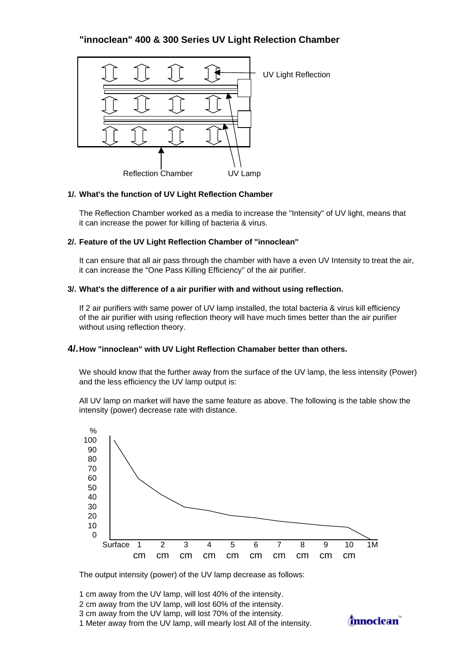# **"innoclean" 400 & 300 Series UV Light Relection Chamber**



### **1/. What's the function of UV Light Reflection Chamber**

The Reflection Chamber worked as a media to increase the "Intensity" of UV light, means that it can increase the power for killing of bacteria & virus.

### **2/. Feature of the UV Light Reflection Chamber of "innoclean"**

It can ensure that all air pass through the chamber with have a even UV Intensity to treat the air, it can increase the "One Pass Killing Efficiency" of the air purifier.

## **3/. What's the difference of a air purifier with and without using reflection.**

If 2 air purifiers with same power of UV lamp installed, the total bacteria & virus kill efficiency of the air purifier with using reflection theory will have much times better than the air purifier without using reflection theory.

### **4/.How "innoclean" with UV Light Reflection Chamaber better than others.**

We should know that the further away from the surface of the UV lamp, the less intensity (Power) and the less efficiency the UV lamp output is:

All UV lamp on market will have the same feature as above. The following is the table show the intensity (power) decrease rate with distance.



The output intensity (power) of the UV lamp decrease as follows:

1 cm away from the UV lamp, will lost 40% of the intensity.

- 2 cm away from the UV lamp, will lost 60% of the intensity.
- 3 cm away from the UV lamp, will lost 70% of the intensity.

1 Meter away from the UV lamp, will mearly lost All of the intensity.